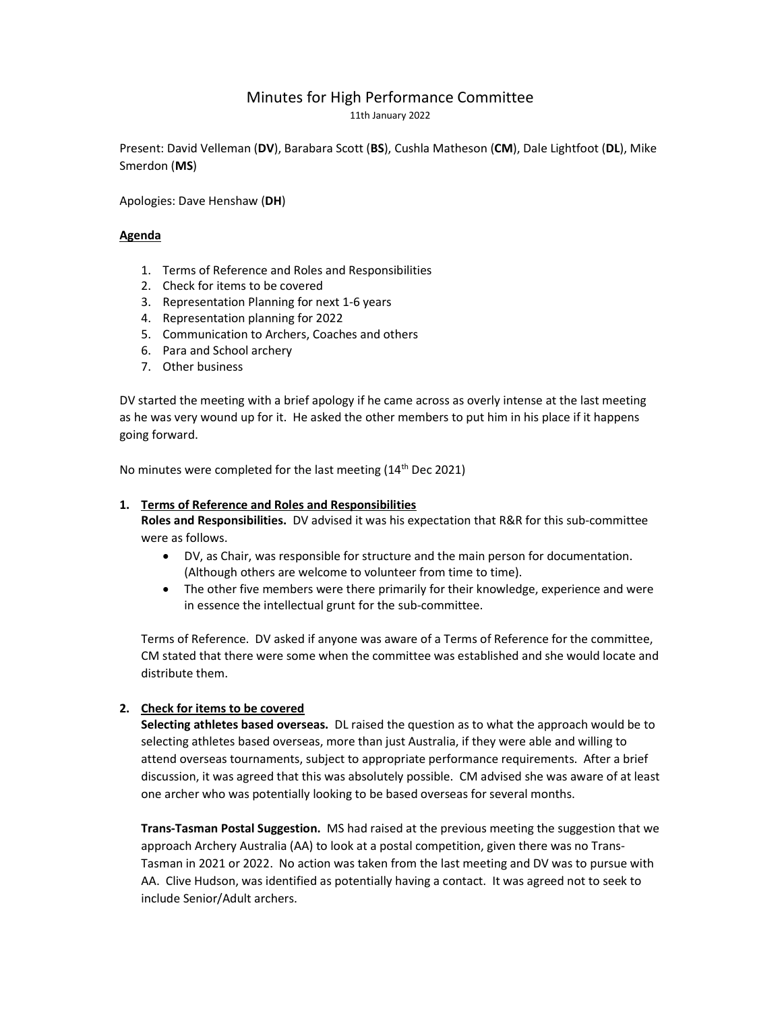# Minutes for High Performance Committee

11th January 2022

Present: David Velleman (DV), Barabara Scott (BS), Cushla Matheson (CM), Dale Lightfoot (DL), Mike Smerdon (MS)

Apologies: Dave Henshaw (DH)

# Agenda

- 1. Terms of Reference and Roles and Responsibilities
- 2. Check for items to be covered
- 3. Representation Planning for next 1-6 years
- 4. Representation planning for 2022
- 5. Communication to Archers, Coaches and others
- 6. Para and School archery
- 7. Other business

DV started the meeting with a brief apology if he came across as overly intense at the last meeting as he was very wound up for it. He asked the other members to put him in his place if it happens going forward.

No minutes were completed for the last meeting (14<sup>th</sup> Dec 2021)

# 1. Terms of Reference and Roles and Responsibilities

Roles and Responsibilities. DV advised it was his expectation that R&R for this sub-committee were as follows.

- DV, as Chair, was responsible for structure and the main person for documentation. (Although others are welcome to volunteer from time to time).
- The other five members were there primarily for their knowledge, experience and were in essence the intellectual grunt for the sub-committee.

Terms of Reference. DV asked if anyone was aware of a Terms of Reference for the committee, CM stated that there were some when the committee was established and she would locate and distribute them.

# 2. Check for items to be covered

Selecting athletes based overseas. DL raised the question as to what the approach would be to selecting athletes based overseas, more than just Australia, if they were able and willing to attend overseas tournaments, subject to appropriate performance requirements. After a brief discussion, it was agreed that this was absolutely possible. CM advised she was aware of at least one archer who was potentially looking to be based overseas for several months.

Trans-Tasman Postal Suggestion. MS had raised at the previous meeting the suggestion that we approach Archery Australia (AA) to look at a postal competition, given there was no Trans-Tasman in 2021 or 2022. No action was taken from the last meeting and DV was to pursue with AA. Clive Hudson, was identified as potentially having a contact. It was agreed not to seek to include Senior/Adult archers.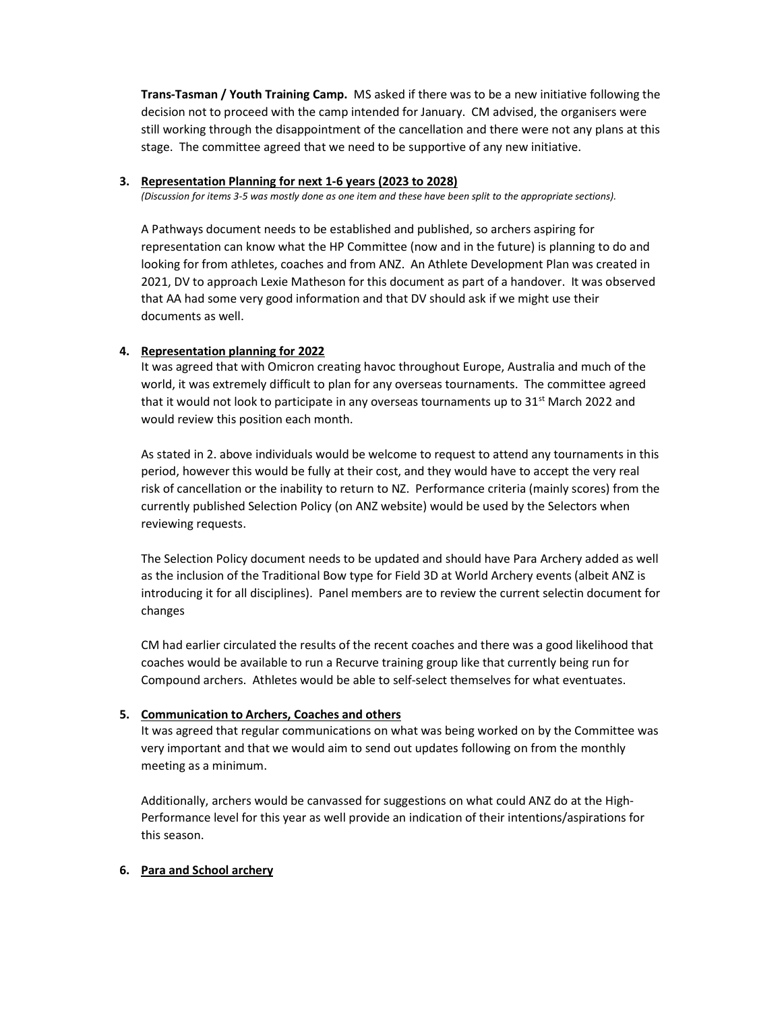Trans-Tasman / Youth Training Camp. MS asked if there was to be a new initiative following the decision not to proceed with the camp intended for January. CM advised, the organisers were still working through the disappointment of the cancellation and there were not any plans at this stage. The committee agreed that we need to be supportive of any new initiative.

#### 3. Representation Planning for next 1-6 years (2023 to 2028)

(Discussion for items 3-5 was mostly done as one item and these have been split to the appropriate sections).

A Pathways document needs to be established and published, so archers aspiring for representation can know what the HP Committee (now and in the future) is planning to do and looking for from athletes, coaches and from ANZ. An Athlete Development Plan was created in 2021, DV to approach Lexie Matheson for this document as part of a handover. It was observed that AA had some very good information and that DV should ask if we might use their documents as well.

## 4. Representation planning for 2022

It was agreed that with Omicron creating havoc throughout Europe, Australia and much of the world, it was extremely difficult to plan for any overseas tournaments. The committee agreed that it would not look to participate in any overseas tournaments up to  $31<sup>st</sup>$  March 2022 and would review this position each month.

As stated in 2. above individuals would be welcome to request to attend any tournaments in this period, however this would be fully at their cost, and they would have to accept the very real risk of cancellation or the inability to return to NZ. Performance criteria (mainly scores) from the currently published Selection Policy (on ANZ website) would be used by the Selectors when reviewing requests.

The Selection Policy document needs to be updated and should have Para Archery added as well as the inclusion of the Traditional Bow type for Field 3D at World Archery events (albeit ANZ is introducing it for all disciplines). Panel members are to review the current selectin document for changes

CM had earlier circulated the results of the recent coaches and there was a good likelihood that coaches would be available to run a Recurve training group like that currently being run for Compound archers. Athletes would be able to self-select themselves for what eventuates.

## 5. Communication to Archers, Coaches and others

It was agreed that regular communications on what was being worked on by the Committee was very important and that we would aim to send out updates following on from the monthly meeting as a minimum.

Additionally, archers would be canvassed for suggestions on what could ANZ do at the High-Performance level for this year as well provide an indication of their intentions/aspirations for this season.

# 6. Para and School archery